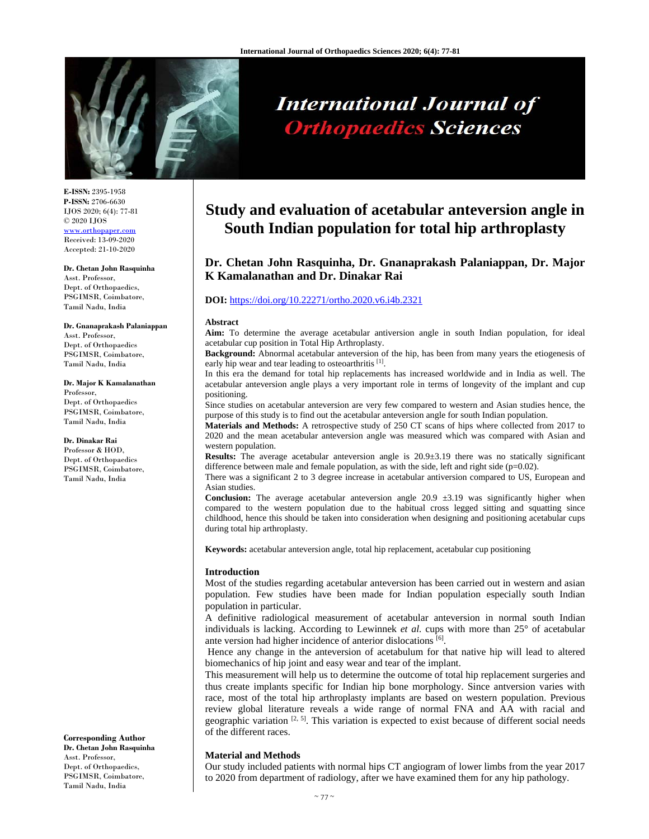

# **International Journal of Orthopaedics Sciences**

**E-ISSN:** 2395-1958 **P-ISSN:** 2706-6630 IJOS 2020; 6(4): 77-81 © 2020 IJOS www.orthopaper.com Received: 13-09-2020 Accepted: 21-10-2020

#### **Dr. Chetan John Rasquinha**

Asst. Professor, Dept. of Orthopaedics, PSGIMSR, Coimbatore, Tamil Nadu, India

#### **Dr. Gnanaprakash Palaniappan**

Asst. Professor, Dept. of Orthopaedics PSGIMSR, Coimbatore, Tamil Nadu, India

#### **Dr. Major K Kamalanathan**

Professor, Dept. of Orthopaedics PSGIMSR, Coimbatore, Tamil Nadu, India

#### **Dr. Dinakar Rai**

Professor & HOD, Dept. of Orthopaedics PSGIMSR, Coimbatore, Tamil Nadu, India

**Corresponding Author Dr. Chetan John Rasquinha**  Asst. Professor, Dept. of Orthopaedics,

# PSGIMSR, Coimbatore, Tamil Nadu, India

# **Study and evaluation of acetabular anteversion angle in South Indian population for total hip arthroplasty**

# **Dr. Chetan John Rasquinha, Dr. Gnanaprakash Palaniappan, Dr. Major K Kamalanathan and Dr. Dinakar Rai**

# **DOI:** https://doi.org/10.22271/ortho.2020.v6.i4b.2321

#### **Abstract**

**Aim:** To determine the average acetabular antiversion angle in south Indian population, for ideal acetabular cup position in Total Hip Arthroplasty.

**Background:** Abnormal acetabular anteversion of the hip, has been from many years the etiogenesis of early hip wear and tear leading to osteoarthritis [1].

In this era the demand for total hip replacements has increased worldwide and in India as well. The acetabular anteversion angle plays a very important role in terms of longevity of the implant and cup positioning.

Since studies on acetabular anteversion are very few compared to western and Asian studies hence, the purpose of this study is to find out the acetabular anteversion angle for south Indian population.

**Materials and Methods:** A retrospective study of 250 CT scans of hips where collected from 2017 to 2020 and the mean acetabular anteversion angle was measured which was compared with Asian and western population.

**Results:** The average acetabular anteversion angle is  $20.9\pm3.19$  there was no statically significant difference between male and female population, as with the side, left and right side ( $p=0.02$ ).

There was a significant 2 to 3 degree increase in acetabular antiversion compared to US, European and Asian studies.

**Conclusion:** The average acetabular anteversion angle 20.9  $\pm$ 3.19 was significantly higher when compared to the western population due to the habitual cross legged sitting and squatting since childhood, hence this should be taken into consideration when designing and positioning acetabular cups during total hip arthroplasty.

**Keywords:** acetabular anteversion angle, total hip replacement, acetabular cup positioning

### **Introduction**

Most of the studies regarding acetabular anteversion has been carried out in western and asian population. Few studies have been made for Indian population especially south Indian population in particular.

A definitive radiological measurement of acetabular anteversion in normal south Indian individuals is lacking. According to Lewinnek *et al.* cups with more than 25° of acetabular ante version had higher incidence of anterior dislocations [6].

 Hence any change in the anteversion of acetabulum for that native hip will lead to altered biomechanics of hip joint and easy wear and tear of the implant.

This measurement will help us to determine the outcome of total hip replacement surgeries and thus create implants specific for Indian hip bone morphology. Since antversion varies with race, most of the total hip arthroplasty implants are based on western population. Previous review global literature reveals a wide range of normal FNA and AA with racial and geographic variation  $[2, 5]$ . This variation is expected to exist because of different social needs of the different races.

### **Material and Methods**

Our study included patients with normal hips CT angiogram of lower limbs from the year 2017 to 2020 from department of radiology, after we have examined them for any hip pathology.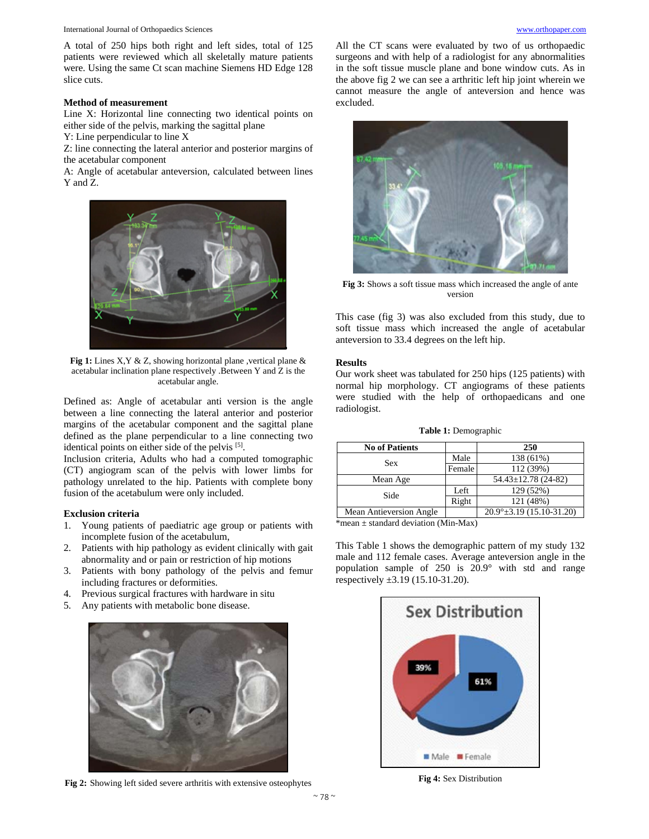A total of 250 hips both right and left sides, total of 125 patients were reviewed which all skeletally mature patients were. Using the same Ct scan machine Siemens HD Edge 128 slice cuts.

## **Method of measurement**

Line X: Horizontal line connecting two identical points on either side of the pelvis, marking the sagittal plane

Y: Line perpendicular to line X

Z: line connecting the lateral anterior and posterior margins of the acetabular component

A: Angle of acetabular anteversion, calculated between lines Y and Z.



Fig 1: Lines X, Y & Z, showing horizontal plane , vertical plane & acetabular inclination plane respectively .Between Y and Z is the acetabular angle.

Defined as: Angle of acetabular anti version is the angle between a line connecting the lateral anterior and posterior margins of the acetabular component and the sagittal plane defined as the plane perpendicular to a line connecting two identical points on either side of the pelvis [5].

Inclusion criteria, Adults who had a computed tomographic (CT) angiogram scan of the pelvis with lower limbs for pathology unrelated to the hip. Patients with complete bony fusion of the acetabulum were only included.

#### **Exclusion criteria**

- 1. Young patients of paediatric age group or patients with incomplete fusion of the acetabulum,
- 2. Patients with hip pathology as evident clinically with gait abnormality and or pain or restriction of hip motions
- 3. Patients with bony pathology of the pelvis and femur including fractures or deformities.
- 4. Previous surgical fractures with hardware in situ
- 5. Any patients with metabolic bone disease.



**Fig 2:** Showing left sided severe arthritis with extensive osteophytes

All the CT scans were evaluated by two of us orthopaedic surgeons and with help of a radiologist for any abnormalities in the soft tissue muscle plane and bone window cuts. As in the above fig 2 we can see a arthritic left hip joint wherein we cannot measure the angle of anteversion and hence was excluded.



**Fig 3:** Shows a soft tissue mass which increased the angle of ante version

This case (fig 3) was also excluded from this study, due to soft tissue mass which increased the angle of acetabular anteversion to 33.4 degrees on the left hip.

#### **Results**

Our work sheet was tabulated for 250 hips (125 patients) with normal hip morphology. CT angiograms of these patients were studied with the help of orthopaedicans and one radiologist.

**Table 1:** Demographic

| <b>No of Patients</b>   |        | 250                                |  |  |
|-------------------------|--------|------------------------------------|--|--|
| Sex                     | Male   | 138 (61%)                          |  |  |
|                         | Female | 112 (39%)                          |  |  |
| Mean Age                |        | $54.43 \pm 12.78$ (24-82)          |  |  |
| Side                    | Left   | 129 (52%)                          |  |  |
|                         | Right  | 121 (48%)                          |  |  |
| Mean Antieversion Angle |        | $20.9^{\circ}$ ±3.19 (15.10-31.20) |  |  |
| .<br>$-1$               |        |                                    |  |  |

\*mean  $\pm$  standard deviation (Min-Max)

This Table 1 shows the demographic pattern of my study 132 male and 112 female cases. Average anteversion angle in the population sample of 250 is 20.9° with std and range respectively ±3.19 (15.10-31.20).



**Fig 4:** Sex Distribution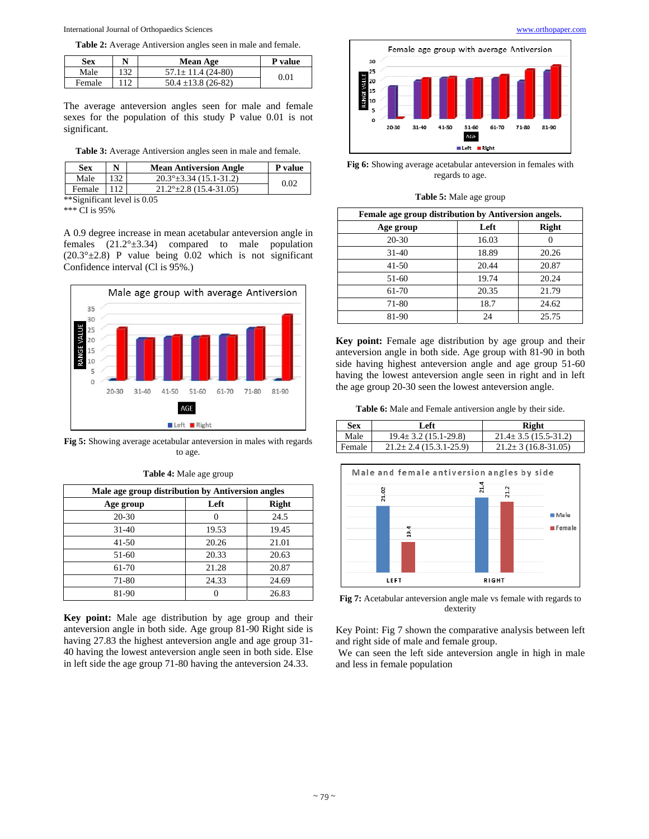**Table 2:** Average Antiversion angles seen in male and female.

| Sex    | N   | Mean Age                | <b>P</b> value |
|--------|-----|-------------------------|----------------|
| Male   | 132 | $57.1 \pm 11.4$ (24-80) | 0.01           |
| Female |     | $50.4 \pm 13.8$ (26-82) |                |

The average anteversion angles seen for male and female sexes for the population of this study P value 0.01 is not significant.

**Table 3:** Average Antiversion angles seen in male and female.

| Sex    | N   | <b>Mean Antiversion Angle</b>     | <b>P</b> value |
|--------|-----|-----------------------------------|----------------|
| Male   | 132 | $20.3^{\circ}$ ± 3.34 (15.1-31.2) | 0.02           |
| Female |     | $21.2^{\circ}$ ± 2.8 (15.4-31.05) |                |

\*\*Significant level is 0.05

\*\*\* CI is 95%

A 0.9 degree increase in mean acetabular anteversion angle in females  $(21.2°±3.34)$  compared to male population  $(20.3°±2.8)$  P value being 0.02 which is not significant Confidence interval (Cl is 95%.)



**Fig 5:** Showing average acetabular anteversion in males with regards to age.

| Male age group distribution by Antiversion angles |       |              |  |  |
|---------------------------------------------------|-------|--------------|--|--|
| Age group                                         | Left  | <b>Right</b> |  |  |
| $20 - 30$                                         |       | 24.5         |  |  |
| $31 - 40$                                         | 19.53 | 19.45        |  |  |
| $41 - 50$                                         | 20.26 | 21.01        |  |  |
| 51-60                                             | 20.33 | 20.63        |  |  |
| 61-70                                             | 21.28 | 20.87        |  |  |
| 71-80                                             | 24.33 | 24.69        |  |  |
| 81-90                                             |       | 26.83        |  |  |

**Table 4:** Male age group

**Key point:** Male age distribution by age group and their anteversion angle in both side. Age group 81-90 Right side is having 27.83 the highest anteversion angle and age group 31- 40 having the lowest anteversion angle seen in both side. Else in left side the age group 71-80 having the anteversion 24.33.



**Fig 6:** Showing average acetabular anteversion in females with regards to age.

**Table 5:** Male age group

| Female age group distribution by Antiversion angels. |       |              |  |  |
|------------------------------------------------------|-------|--------------|--|--|
| Age group                                            | Left  | <b>Right</b> |  |  |
| $20 - 30$                                            | 16.03 |              |  |  |
| $31 - 40$                                            | 18.89 | 20.26        |  |  |
| $41 - 50$                                            | 20.44 | 20.87        |  |  |
| $51-60$                                              | 19.74 | 20.24        |  |  |
| 61-70                                                | 20.35 | 21.79        |  |  |
| 71-80                                                | 18.7  | 24.62        |  |  |
| 81-90                                                | 24    | 25.75        |  |  |

**Key point:** Female age distribution by age group and their anteversion angle in both side. Age group with 81-90 in both side having highest anteversion angle and age group 51-60 having the lowest anteversion angle seen in right and in left the age group 20-30 seen the lowest anteversion angle.

**Table 6:** Male and Female antiversion angle by their side.

| <b>Sex</b> | Left                         | Right                       |  |
|------------|------------------------------|-----------------------------|--|
| Male       | $19.4 \pm 3.2$ (15.1-29.8)   | $21.4 \pm 3.5(15.5 - 31.2)$ |  |
| Female     | $21.2 \pm 2.4$ (15.3.1-25.9) | $21.2 \pm 3(16.8 - 31.05)$  |  |



Fig 7: Acetabular anteversion angle male vs female with regards to dexterity

Key Point: Fig 7 shown the comparative analysis between left and right side of male and female group.

 We can seen the left side anteversion angle in high in male and less in female population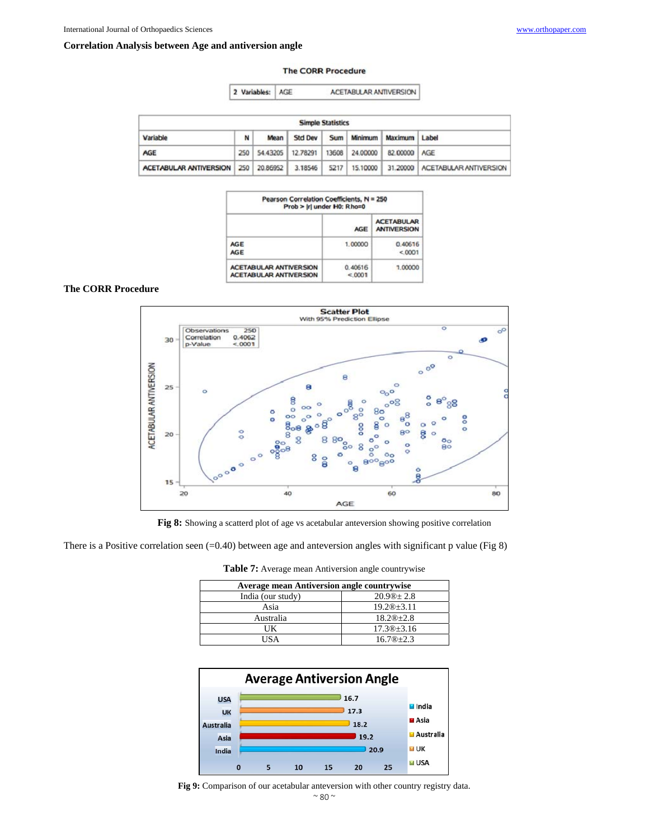# **Correlation Analysis between Age and antiversion angle**

# **The CORR Procedure**

2 Variables: AGE ACETABULAR ANTIVERSION

| <b>Simple Statistics</b>                |   |                                      |         |  |               |                                 |                                   |
|-----------------------------------------|---|--------------------------------------|---------|--|---------------|---------------------------------|-----------------------------------|
| Variable                                | N | Mean                                 | Std Dev |  |               | Sum   Minimum   Maximum   Label |                                   |
| AGE                                     |   | 250 54.43205 12.78291 13608 24.00000 |         |  |               | 82,00000 AGE                    |                                   |
| ACETABULAR ANTIVERSION   250   20.86952 |   |                                      | 3.18546 |  | 5217 15.10000 |                                 | 31,20000   ACETABULAR ANTIVERSION |

| Pearson Correlation Coefficients, N = 250<br>Prob >  r  under H0: Rho=0 |                   |                                         |  |
|-------------------------------------------------------------------------|-------------------|-----------------------------------------|--|
|                                                                         | AGE               | <b>ACETABULAR</b><br><b>ANTIVERSION</b> |  |
| <b>AGE</b><br><b>AGE</b>                                                | 1,00000           | 0.40616<br>< 0001                       |  |
| <b>ACETABULAR ANTIVERSION</b><br><b>ACETABULAR ANTIVERSION</b>          | 0.40616<br>< 0001 | 1,00000                                 |  |

# **The CORR Procedure**





There is a Positive correlation seen  $(=0.40)$  between age and anteversion angles with significant p value (Fig 8)

| <b>Average mean Antiversion angle countrywise</b> |                  |  |  |  |
|---------------------------------------------------|------------------|--|--|--|
| $20.9@{\pm}2.8$<br>India (our study)              |                  |  |  |  |
| Asia                                              | $19.2@{\pm}3.11$ |  |  |  |
| Australia                                         | $18.2@{\pm}2.8$  |  |  |  |
| UК                                                | $17.3@{\pm}3.16$ |  |  |  |
| I IS A                                            | $16.7@+2.3$      |  |  |  |

**Table 7:** Average mean Antiversion angle countrywise



**Fig 9:** Comparison of our acetabular anteversion with other country registry data.